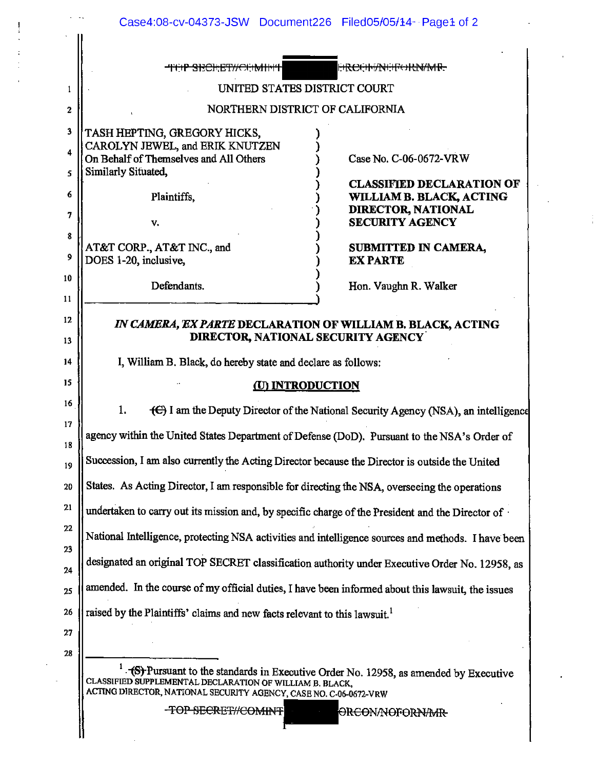|              | Case4:08-cv-04373-JSW Document226 Filed05/05/14 - Page1 of 2                                                                                                                                                         |                                              |  |
|--------------|----------------------------------------------------------------------------------------------------------------------------------------------------------------------------------------------------------------------|----------------------------------------------|--|
|              |                                                                                                                                                                                                                      |                                              |  |
|              | <del>MRCOM/NONVARMAD.</del><br><del>-TOP SBCHET#CONMHT</del>                                                                                                                                                         |                                              |  |
| 1            | UNITED STATES DISTRICT COURT                                                                                                                                                                                         |                                              |  |
| $\mathbf{2}$ | NORTHERN DISTRICT OF CALIFORNIA                                                                                                                                                                                      |                                              |  |
| 3            | TASH HEPTING, GREGORY HICKS,                                                                                                                                                                                         |                                              |  |
| 4            | CAROLYN JEWEL, and ERIK KNUTZEN<br>On Behalf of Themselves and All Others                                                                                                                                            | Case No. C-06-0672-VRW                       |  |
| 5            | Similarly Situated,                                                                                                                                                                                                  | <b>CLASSIFIED DECLARATION OF</b>             |  |
| 6            | Plaintiffs,                                                                                                                                                                                                          | WILLIAM B. BLACK, ACTING                     |  |
| 7            | v.                                                                                                                                                                                                                   | DIRECTOR, NATIONAL<br><b>SECURITY AGENCY</b> |  |
| 8            | AT&T CORP., AT&T INC., and                                                                                                                                                                                           | SUBMITTED IN CAMERA,                         |  |
| 9            | DOES 1-20, inclusive,                                                                                                                                                                                                | <b>EX PARTE</b>                              |  |
| 10           | Defendants.                                                                                                                                                                                                          | Hon. Vaughn R. Walker                        |  |
| 11           |                                                                                                                                                                                                                      |                                              |  |
| 12           | IN CAMERA, EX PARTE DECLARATION OF WILLIAM B. BLACK, ACTING                                                                                                                                                          |                                              |  |
| 13           | DIRECTOR, NATIONAL SECURITY AGENCY                                                                                                                                                                                   |                                              |  |
| 14           | I, William B. Black, do hereby state and declare as follows:                                                                                                                                                         |                                              |  |
| 15           | <u>(U) INTRODUCTION</u>                                                                                                                                                                                              |                                              |  |
| 16           | 1.<br>(C) I am the Deputy Director of the National Security Agency (NSA), an intelligence                                                                                                                            |                                              |  |
| 17<br>18     | agency within the United States Department of Defense (DoD). Pursuant to the NSA's Order of                                                                                                                          |                                              |  |
| 19           | Succession, I am also currently the Acting Director because the Director is outside the United                                                                                                                       |                                              |  |
| 20           | States. As Acting Director, I am responsible for directing the NSA, overseeing the operations                                                                                                                        |                                              |  |
| 21           | undertaken to carry out its mission and, by specific charge of the President and the Director of                                                                                                                     |                                              |  |
| 22           | National Intelligence, protecting NSA activities and intelligence sources and methods. I have been                                                                                                                   |                                              |  |
| 23<br>24     | designated an original TOP SECRET classification authority under Executive Order No. 12958, as                                                                                                                       |                                              |  |
| 25           | amended. In the course of my official duties, I have been informed about this lawsuit, the issues                                                                                                                    |                                              |  |
| 26           | raised by the Plaintiffs' claims and new facts relevant to this lawsuit. <sup>1</sup>                                                                                                                                |                                              |  |
| 27           |                                                                                                                                                                                                                      |                                              |  |
| 28           |                                                                                                                                                                                                                      |                                              |  |
|              | (S) Pursuant to the standards in Executive Order No. 12958, as amended by Executive<br>CLASSIFIED SUPPLEMENTAL DECLARATION OF WILLIAM B. BLACK,<br>ACTING DIRECTOR, NATIONAL SECURITY AGENCY, CASE NO. C-06-0672-VRW |                                              |  |
|              | <b>TOP SECRET//COMINT</b><br>ORCONANOFORNAMR                                                                                                                                                                         |                                              |  |
|              |                                                                                                                                                                                                                      |                                              |  |